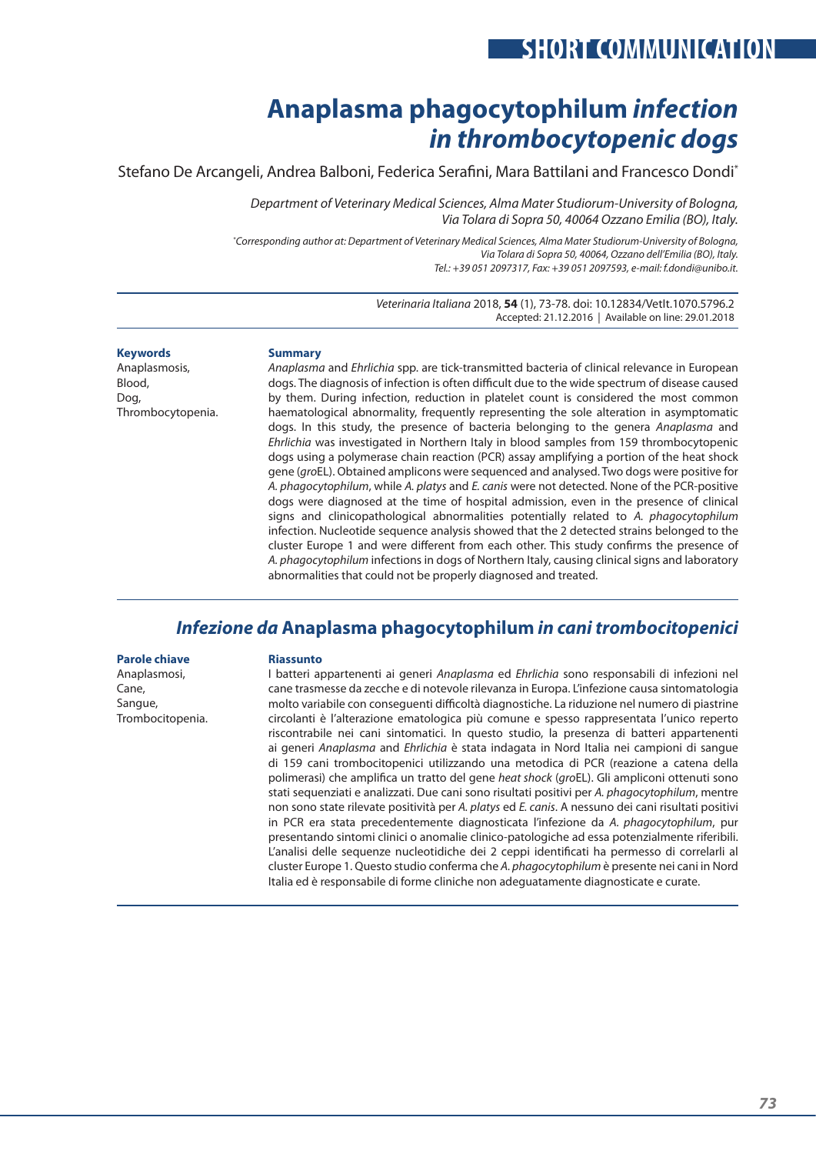# **SHORT COMMUNICATION**

# **Anaplasma phagocytophilum** *infection in thrombocytopenic dogs*

Stefano De Arcangeli, Andrea Balboni, Federica Serafini, Mara Battilani and Francesco Dondi\*

*Department of Veterinary Medical Sciences, Alma Mater Studiorum‑University of Bologna, Via Tolara di Sopra 50, 40064 Ozzano Emilia (BO), Italy.*

*\* Corresponding author at: Department of Veterinary Medical Sciences, Alma Mater Studiorum‑University of Bologna, Via Tolara di Sopra 50, 40064, Ozzano dell'Emilia (BO), Italy. Tel.: +39 051 2097317, Fax: +39 051 2097593, e‑mail: f.dondi@unibo.it.*

> *Veterinaria Italiana* 2018, **54** (1), 73-78. doi: 10.12834/VetIt.1070.5796.2 Accepted: 21.12.2016 | Available on line: 29.01.2018

**Keywords**

Anaplasmosis, Blood, Dog, Thrombocytopenia.

#### **Summary**

*Anaplasma* and *Ehrlichia* spp. are tick‑transmitted bacteria of clinical relevance in European dogs. The diagnosis of infection is often difficult due to the wide spectrum of disease caused by them. During infection, reduction in platelet count is considered the most common haematological abnormality, frequently representing the sole alteration in asymptomatic dogs. In this study, the presence of bacteria belonging to the genera *Anaplasma* and *Ehrlichia* was investigated in Northern Italy in blood samples from 159 thrombocytopenic dogs using a polymerase chain reaction (PCR) assay amplifying a portion of the heat shock gene (*gro*EL). Obtained amplicons were sequenced and analysed. Two dogs were positive for *A. phagocytophilum*, while *A. platys* and *E. canis* were not detected. None of the PCR‑positive dogs were diagnosed at the time of hospital admission, even in the presence of clinical signs and clinicopathological abnormalities potentially related to *A. phagocytophilum*  infection. Nucleotide sequence analysis showed that the 2 detected strains belonged to the cluster Europe 1 and were different from each other. This study confirms the presence of *A. phagocytophilum* infections in dogs of Northern Italy, causing clinical signs and laboratory abnormalities that could not be properly diagnosed and treated.

## *Infezione da* **Anaplasma phagocytophilum** *in cani trombocitopenici*

#### **Parole chiave**

Anaplasmosi, Cane, Sangue, Trombocitopenia.

#### **Riassunto**

I batteri appartenenti ai generi *Anaplasma* ed *Ehrlichia* sono responsabili di infezioni nel cane trasmesse da zecche e di notevole rilevanza in Europa. L'infezione causa sintomatologia molto variabile con conseguenti difficoltà diagnostiche. La riduzione nel numero di piastrine circolanti è l'alterazione ematologica più comune e spesso rappresentata l'unico reperto riscontrabile nei cani sintomatici. In questo studio, la presenza di batteri appartenenti ai generi *Anaplasma* and *Ehrlichia* è stata indagata in Nord Italia nei campioni di sangue di 159 cani trombocitopenici utilizzando una metodica di PCR (reazione a catena della polimerasi) che amplifica un tratto del gene *heat shock* (*gro*EL). Gli ampliconi ottenuti sono stati sequenziati e analizzati. Due cani sono risultati positivi per *A. phagocytophilum*, mentre non sono state rilevate positività per *A. platys* ed *E. canis*. A nessuno dei cani risultati positivi in PCR era stata precedentemente diagnosticata l'infezione da *A. phagocytophilum*, pur presentando sintomi clinici o anomalie clinico‑patologiche ad essa potenzialmente riferibili. L'analisi delle sequenze nucleotidiche dei 2 ceppi identificati ha permesso di correlarli al cluster Europe 1. Questo studio conferma che *A. phagocytophilum* è presente nei cani in Nord Italia ed è responsabile di forme cliniche non adeguatamente diagnosticate e curate.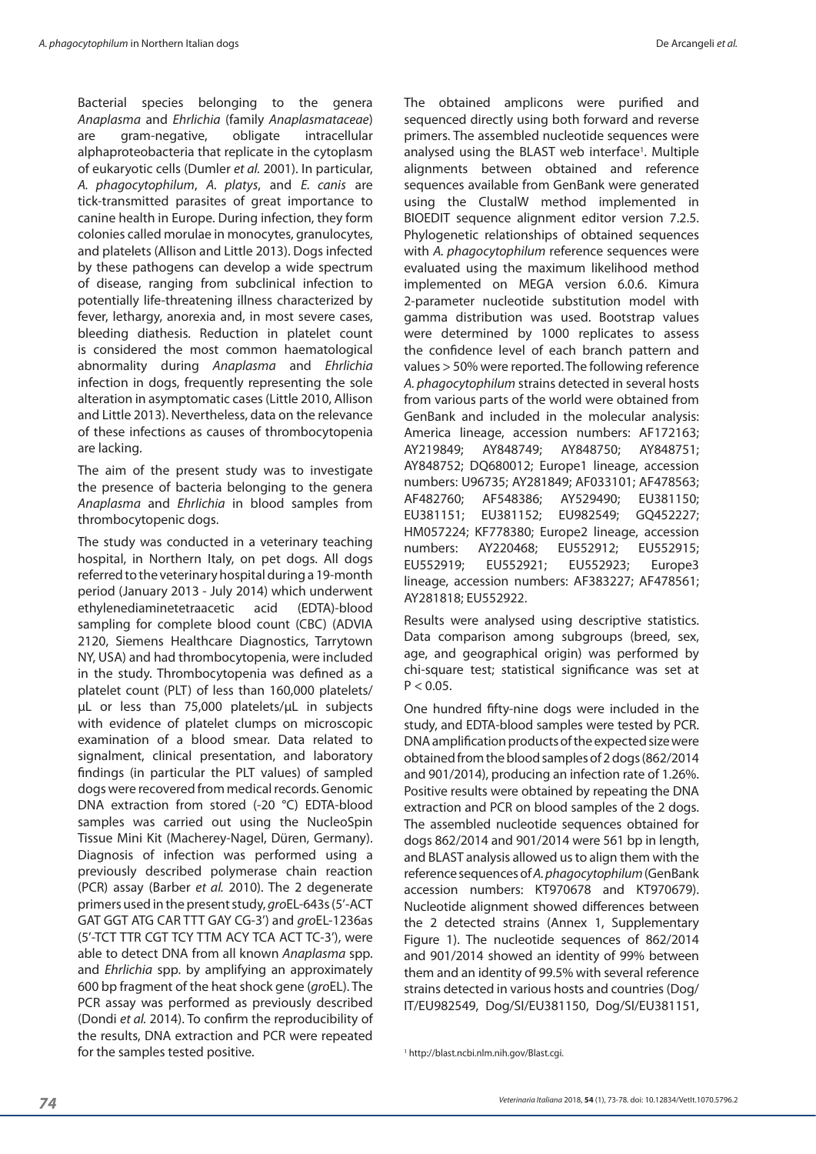Bacterial species belonging to the genera *Anaplasma* and *Ehrlichia* (family *Anaplasmataceae*) are gram‑negative, obligate intracellular alphaproteobacteria that replicate in the cytoplasm of eukaryotic cells (Dumler *et al.* 2001). In particular, *A. phagocytophilum*, *A. platys*, and *E. canis* are tick-transmitted parasites of great importance to canine health in Europe. During infection, they form colonies called morulae in monocytes, granulocytes, and platelets (Allison and Little 2013). Dogs infected by these pathogens can develop a wide spectrum of disease, ranging from subclinical infection to potentially life-threatening illness characterized by fever, lethargy, anorexia and, in most severe cases, bleeding diathesis. Reduction in platelet count is considered the most common haematological abnormality during *Anaplasma* and *Ehrlichia* infection in dogs, frequently representing the sole alteration in asymptomatic cases (Little 2010, Allison and Little 2013). Nevertheless, data on the relevance of these infections as causes of thrombocytopenia are lacking.

The aim of the present study was to investigate the presence of bacteria belonging to the genera *Anaplasma* and *Ehrlichia* in blood samples from thrombocytopenic dogs.

The study was conducted in a veterinary teaching hospital, in Northern Italy, on pet dogs. All dogs referred to the veterinary hospital during a 19‑month period (January 2013 ‑ July 2014) which underwent ethylenediaminetetraacetic acid (EDTA)‑blood sampling for complete blood count (CBC) (ADVIA 2120, Siemens Healthcare Diagnostics, Tarrytown NY, USA) and had thrombocytopenia, were included in the study. Thrombocytopenia was defined as a platelet count (PLT) of less than 160,000 platelets/ µL or less than 75,000 platelets/µL in subjects with evidence of platelet clumps on microscopic examination of a blood smear. Data related to signalment, clinical presentation, and laboratory findings (in particular the PLT values) of sampled dogs were recovered from medical records. Genomic DNA extraction from stored (-20 °C) EDTA-blood samples was carried out using the NucleoSpin Tissue Mini Kit (Macherey‑Nagel, Düren, Germany). Diagnosis of infection was performed using a previously described polymerase chain reaction (PCR) assay (Barber *et al.* 2010). The 2 degenerate primers used in the present study, *gro*EL‑643s (5'‑ACT GAT GGT ATG CAR TTT GAY CG‑3') and *gro*EL‑1236as (5'‑TCT TTR CGT TCY TTM ACY TCA ACT TC‑3'), were able to detect DNA from all known *Anaplasma* spp. and *Ehrlichia* spp. by amplifying an approximately 600 bp fragment of the heat shock gene (*gro*EL). The PCR assay was performed as previously described (Dondi *et al.* 2014). To confirm the reproducibility of the results, DNA extraction and PCR were repeated for the samples tested positive. <sup>1</sup> http://blast.ncbi.nlm.nih.gov/Blast.cgi.

The obtained amplicons were purified and sequenced directly using both forward and reverse primers. The assembled nucleotide sequences were analysed using the BLAST web interface<sup>1</sup>. Multiple alignments between obtained and reference sequences available from GenBank were generated using the ClustalW method implemented in BIOEDIT sequence alignment editor version 7.2.5. Phylogenetic relationships of obtained sequences with *A. phagocytophilum* reference sequences were evaluated using the maximum likelihood method implemented on MEGA version 6.0.6. Kimura 2‑parameter nucleotide substitution model with gamma distribution was used. Bootstrap values were determined by 1000 replicates to assess the confidence level of each branch pattern and values > 50% were reported. The following reference *A. phagocytophilum* strains detected in several hosts from various parts of the world were obtained from GenBank and included in the molecular analysis: America lineage, accession numbers: AF172163; AY219849; AY848749; AY848750; AY848751; AY848752; DQ680012; Europe1 lineage, accession numbers: U96735; AY281849; AF033101; AF478563; AF482760; AF548386; AY529490; EU381150; EU381151; EU381152; EU982549; GQ452227; HM057224; KF778380; Europe2 lineage, accession numbers: AY220468; EU552912; EU552915; EU552919; EU552921; EU552923; Europe3 lineage, accession numbers: AF383227; AF478561; AY281818; EU552922.

Results were analysed using descriptive statistics. Data comparison among subgroups (breed, sex, age, and geographical origin) was performed by chi-square test; statistical significance was set at  $P < 0.05$ .

One hundred fifty-nine dogs were included in the study, and EDTA‑blood samples were tested by PCR. DNA amplification products of the expected size were obtained from the blood samples of 2 dogs (862/2014 and 901/2014), producing an infection rate of 1.26%. Positive results were obtained by repeating the DNA extraction and PCR on blood samples of the 2 dogs. The assembled nucleotide sequences obtained for dogs 862/2014 and 901/2014 were 561 bp in length, and BLAST analysis allowed us to align them with the reference sequences of *A. phagocytophilum* (GenBank accession numbers: KT970678 and KT970679). Nucleotide alignment showed differences between the 2 detected strains (Annex 1, Supplementary Figure 1). The nucleotide sequences of 862/2014 and 901/2014 showed an identity of 99% between them and an identity of 99.5% with several reference strains detected in various hosts and countries (Dog/ IT/EU982549, Dog/SI/EU381150, Dog/SI/EU381151,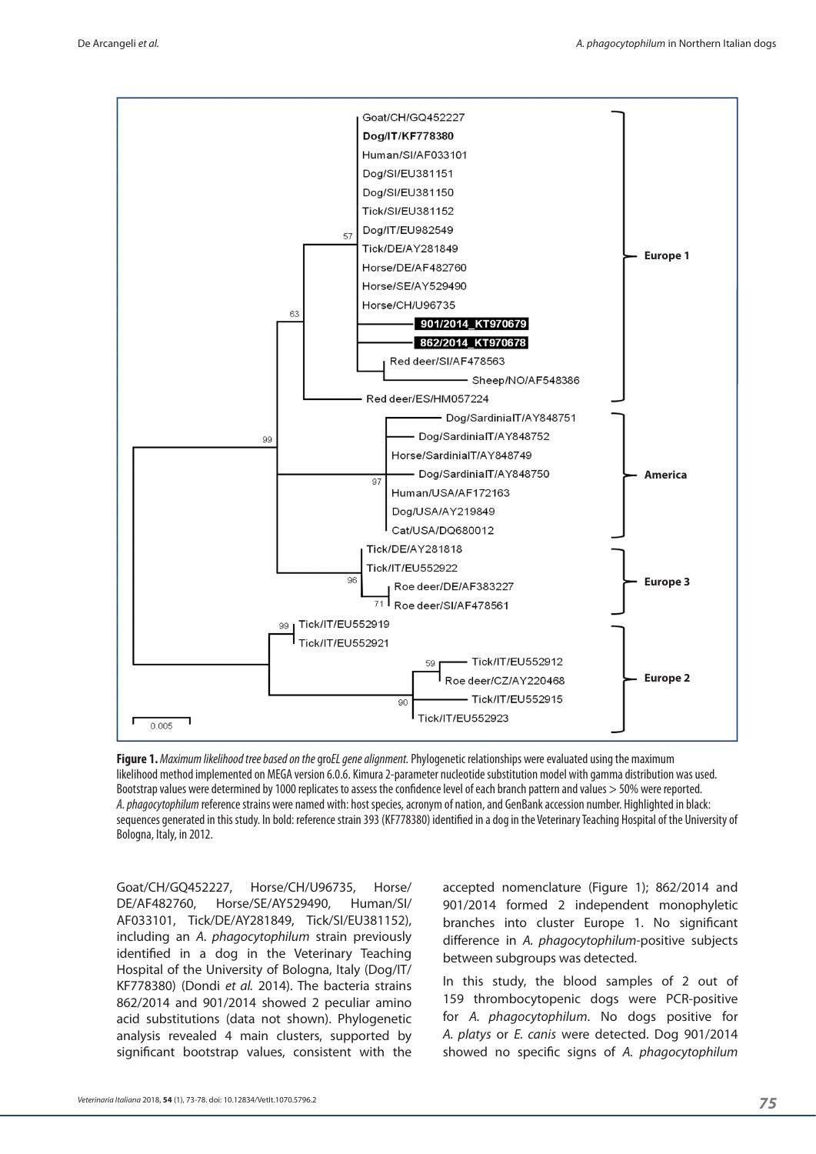

**Figure 1.** *Maximum likelihood tree based on the* gro*EL gene alignment.* Phylogenetic relationships were evaluated using the maximum likelihood method implemented on MEGA version 6.0.6. Kimura 2‑parameter nucleotide substitution model with gamma distribution was used. Bootstrap values were determined by 1000 replicates to assess the confidence level of each branch pattern and values > 50% were reported. *A. phagocytophilum* reference strains were named with: host species, acronym of nation, and GenBank accession number. Highlighted in black: sequences generated in this study. In bold: reference strain 393 (KF778380) identified in a dog in the Veterinary Teaching Hospital of the University of Bologna, Italy, in 2012.

Goat/CH/GQ452227, Horse/CH/U96735, Horse/ DE/AF482760, Horse/SE/AY529490, Human/SI/ AF033101, Tick/DE/AY281849, Tick/SI/EU381152), including an *A. phagocytophilum* strain previously identified in a dog in the Veterinary Teaching Hospital of the University of Bologna, Italy (Dog/IT/ KF778380) (Dondi *et al.* 2014). The bacteria strains 862/2014 and 901/2014 showed 2 peculiar amino acid substitutions (data not shown). Phylogenetic analysis revealed 4 main clusters, supported by significant bootstrap values, consistent with the

accepted nomenclature (Figure 1); 862/2014 and 901/2014 formed 2 independent monophyletic branches into cluster Europe 1. No significant difference in *A. phagocytophilum*‑positive subjects between subgroups was detected.

In this study, the blood samples of 2 out of 159 thrombocytopenic dogs were PCR‑positive for *A. phagocytophilum*. No dogs positive for *A. platys* or *E. canis* were detected. Dog 901/2014 showed no specific signs of *A. phagocytophilum*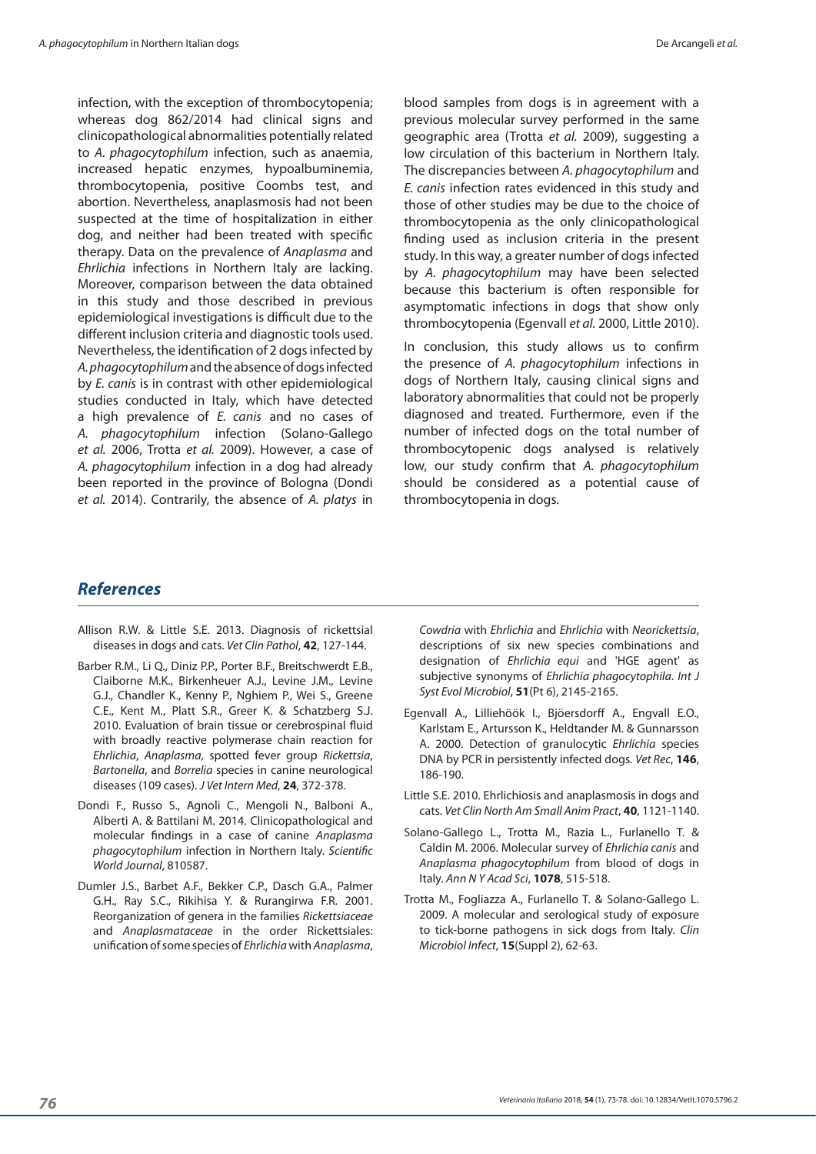infection, with the exception of thrombocytopenia; whereas dog 862/2014 had clinical signs and clinicopathological abnormalities potentially related to *A. phagocytophilum* infection, such as anaemia, increased hepatic enzymes, hypoalbuminemia, thrombocytopenia, positive Coombs test, and abortion. Nevertheless, anaplasmosis had not been suspected at the time of hospitalization in either dog, and neither had been treated with specific therapy. Data on the prevalence of *Anaplasma* and *Ehrlichia* infections in Northern Italy are lacking. Moreover, comparison between the data obtained in this study and those described in previous epidemiological investigations is difficult due to the different inclusion criteria and diagnostic tools used. Nevertheless, the identification of 2 dogs infected by *A. phagocytophilum* and the absence of dogs infected by *E. canis* is in contrast with other epidemiological studies conducted in Italy, which have detected a high prevalence of *E. canis* and no cases of *A. phagocytophilum* infection (Solano‑Gallego *et al.* 2006, Trotta *et al.* 2009). However, a case of *A. phagocytophilum* infection in a dog had already been reported in the province of Bologna (Dondi *et al.* 2014). Contrarily, the absence of *A. platys* in

blood samples from dogs is in agreement with a previous molecular survey performed in the same geographic area (Trotta *et al.* 2009), suggesting a low circulation of this bacterium in Northern Italy. The discrepancies between *A. phagocytophilum* and *E. canis* infection rates evidenced in this study and those of other studies may be due to the choice of thrombocytopenia as the only clinicopathological finding used as inclusion criteria in the present study. In this way, a greater number of dogs infected by *A. phagocytophilum* may have been selected because this bacterium is often responsible for asymptomatic infections in dogs that show only thrombocytopenia (Egenvall *et al.* 2000, Little 2010).

In conclusion, this study allows us to confirm the presence of *A. phagocytophilum* infections in dogs of Northern Italy, causing clinical signs and laboratory abnormalities that could not be properly diagnosed and treated. Furthermore, even if the number of infected dogs on the total number of thrombocytopenic dogs analysed is relatively low, our study confirm that *A. phagocytophilum* should be considered as a potential cause of thrombocytopenia in dogs.

### *References*

- Allison R.W. & Little S.E. 2013. Diagnosis of rickettsial diseases in dogs and cats. *Vet Clin Pathol*, **42**, 127‑144.
- Barber R.M., Li Q., Diniz P.P., Porter B.F., Breitschwerdt E.B., Claiborne M.K., Birkenheuer A.J., Levine J.M., Levine G.J., Chandler K., Kenny P., Nghiem P., Wei S., Greene C.E., Kent M., Platt S.R., Greer K. & Schatzberg S.J. 2010. Evaluation of brain tissue or cerebrospinal fluid with broadly reactive polymerase chain reaction for *Ehrlichia*, *Anaplasma*, spotted fever group *Rickettsia*, *Bartonella*, and *Borrelia* species in canine neurological diseases (109 cases). *J Vet Intern Med*, **24**, 372‑378.
- Dondi F., Russo S., Agnoli C., Mengoli N., Balboni A., Alberti A. & Battilani M. 2014. Clinicopathological and molecular findings in a case of canine *Anaplasma phagocytophilum* infection in Northern Italy. *Scientific World Journal*, 810587.
- Dumler J.S., Barbet A.F., Bekker C.P., Dasch G.A., Palmer G.H., Ray S.C., Rikihisa Y. & Rurangirwa F.R. 2001. Reorganization of genera in the families *Rickettsiaceae* and *Anaplasmataceae* in the order Rickettsiales: unification of some species of *Ehrlichia* with *Anaplasma*,

*Cowdria* with *Ehrlichia* and *Ehrlichia* with *Neorickettsia*, descriptions of six new species combinations and designation of *Ehrlichia equi* and 'HGE agent' as subjective synonyms of *Ehrlichia phagocytophila*. *Int J Syst Evol Microbiol*, **51**(Pt 6), 2145‑2165.

- Egenvall A., Lilliehöök I., Bjöersdorff A., Engvall E.O., Karlstam E., Artursson K., Heldtander M. & Gunnarsson A. 2000. Detection of granulocytic *Ehrlichia* species DNA by PCR in persistently infected dogs. *Vet Rec*, **146**, 186‑190.
- Little S.E. 2010. Ehrlichiosis and anaplasmosis in dogs and cats. *Vet Clin North Am Small Anim Pract*, **40**, 1121‑1140.
- Solano‑Gallego L., Trotta M., Razia L., Furlanello T. & Caldin M. 2006. Molecular survey of *Ehrlichia canis* and *Anaplasma phagocytophilum* from blood of dogs in Italy. *Ann N Y Acad Sci*, **1078**, 515‑518.
- Trotta M., Fogliazza A., Furlanello T. & Solano‑Gallego L. 2009. A molecular and serological study of exposure to tick‑borne pathogens in sick dogs from Italy. *Clin Microbiol Infect*, **15**(Suppl 2), 62‑63.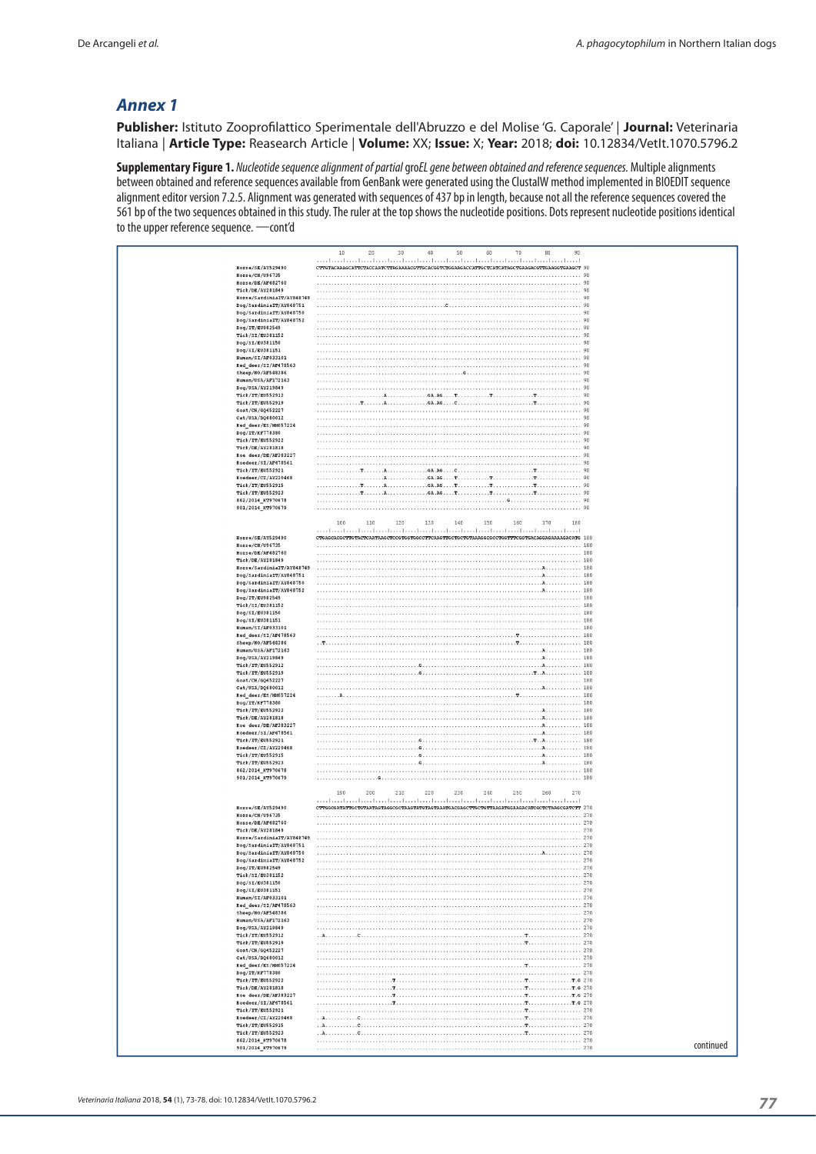### *Annex 1*

**Publisher:** Istituto Zooprofilattico Sperimentale dell'Abruzzo e del Molise 'G. Caporale' | **Journal:** Veterinaria Italiana | **Article Type:** Reasearch Article | **Volume:** XX; **Issue:** X; **Year:** 2018; **doi:** 10.12834/VetIt.1070.5796.2

**Supplementary Figure 1.** *Nucleotide sequence alignment of partial* gro*EL gene between obtained and reference sequences.* Multiple alignments between obtained and reference sequences available from GenBank were generated using the ClustalW method implemented in BIOEDIT sequence alignment editor version 7.2.5. Alignment was generated with sequences of 437 bp in length, because not all the reference sequences covered the 561 bp of the two sequences obtained in this study. The ruler at the top shows the nucleotide positions. Dots represent nucleotide positions identical to the upper reference sequence. —cont'd